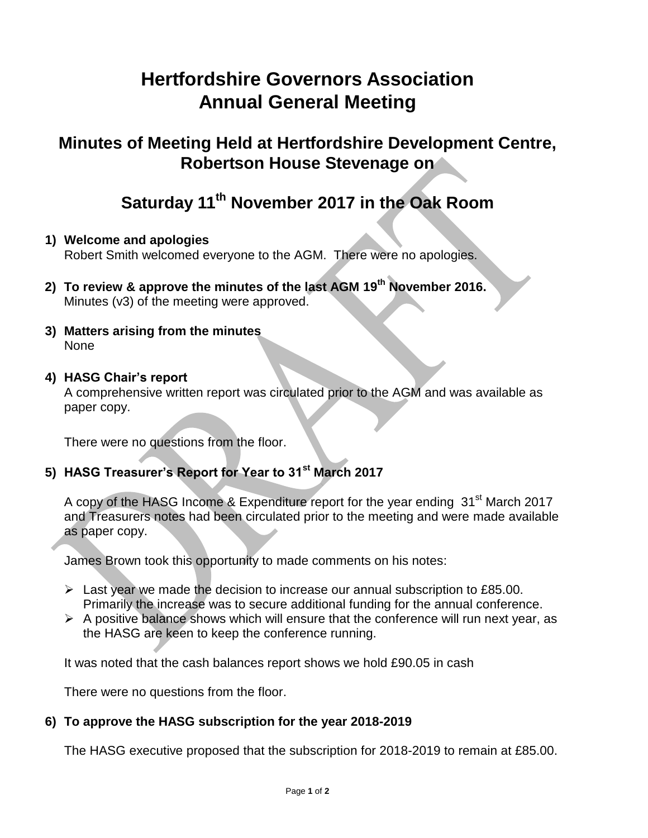# **Hertfordshire Governors Association Annual General Meeting**

## **Minutes of Meeting Held at Hertfordshire Development Centre, Robertson House Stevenage on**

## **Saturday 11 th November 2017 in the Oak Room**

## **1) Welcome and apologies**

Robert Smith welcomed everyone to the AGM. There were no apologies.

- **2) To review & approve the minutes of the last AGM 19 th November 2016.** Minutes (v3) of the meeting were approved.
- **3) Matters arising from the minutes** None

### **4) HASG Chair's report**

A comprehensive written report was circulated prior to the AGM and was available as paper copy.

There were no questions from the floor.

## **5) HASG Treasurer's Report for Year to 31st March 2017**

A copy of the HASG Income & Expenditure report for the year ending 31<sup>st</sup> March 2017 and Treasurers notes had been circulated prior to the meeting and were made available as paper copy.

James Brown took this opportunity to made comments on his notes:

- $\triangleright$  Last year we made the decision to increase our annual subscription to £85.00. Primarily the increase was to secure additional funding for the annual conference.
- $\triangleright$  A positive balance shows which will ensure that the conference will run next year, as the HASG are keen to keep the conference running.

It was noted that the cash balances report shows we hold £90.05 in cash

There were no questions from the floor.

## **6) To approve the HASG subscription for the year 2018-2019**

The HASG executive proposed that the subscription for 2018-2019 to remain at £85.00.